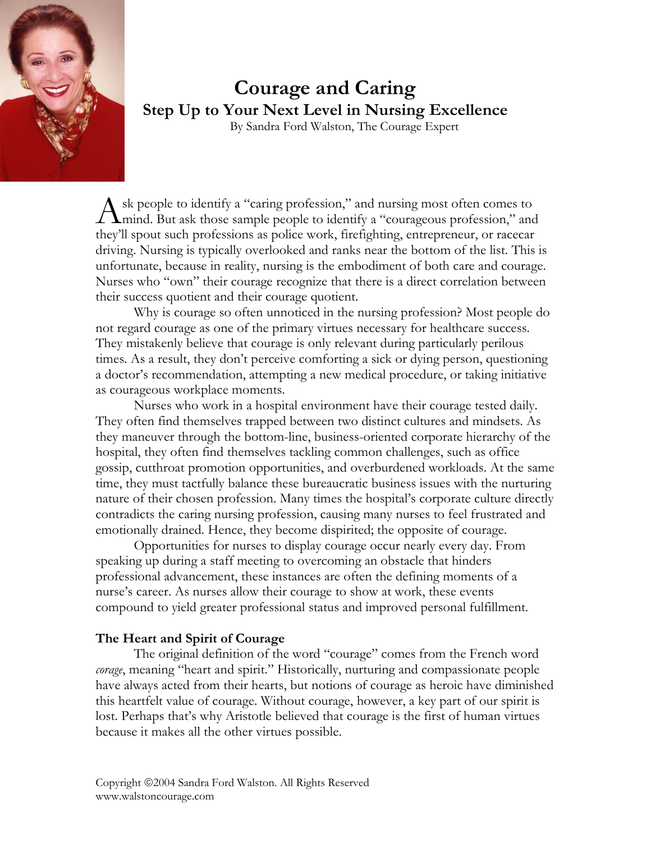

# **Courage and Caring Step Up to Your Next Level in Nursing Excellence**

By Sandra Ford Walston, The Courage Expert

sk people to identify a "caring profession," and nursing most often comes to Ask people to identify a "caring profession," and nursing most often comes to<br>
mind. But ask those sample people to identify a "courageous profession," and<br>
there'll grout and anofessions as police work, furtilities, entra they'll spout such professions as police work, firefighting, entrepreneur, or racecar driving. Nursing is typically overlooked and ranks near the bottom of the list. This is unfortunate, because in reality, nursing is the embodiment of both care and courage. Nurses who "own" their courage recognize that there is a direct correlation between their success quotient and their courage quotient.

 Why is courage so often unnoticed in the nursing profession? Most people do not regard courage as one of the primary virtues necessary for healthcare success. They mistakenly believe that courage is only relevant during particularly perilous times. As a result, they don't perceive comforting a sick or dying person, questioning a doctor's recommendation, attempting a new medical procedure, or taking initiative as courageous workplace moments.

 Nurses who work in a hospital environment have their courage tested daily. They often find themselves trapped between two distinct cultures and mindsets. As they maneuver through the bottom-line, business-oriented corporate hierarchy of the hospital, they often find themselves tackling common challenges, such as office gossip, cutthroat promotion opportunities, and overburdened workloads. At the same time, they must tactfully balance these bureaucratic business issues with the nurturing nature of their chosen profession. Many times the hospital's corporate culture directly contradicts the caring nursing profession, causing many nurses to feel frustrated and emotionally drained. Hence, they become dispirited; the opposite of courage.

 Opportunities for nurses to display courage occur nearly every day. From speaking up during a staff meeting to overcoming an obstacle that hinders professional advancement, these instances are often the defining moments of a nurse's career. As nurses allow their courage to show at work, these events compound to yield greater professional status and improved personal fulfillment.

# **The Heart and Spirit of Courage**

The original definition of the word "courage" comes from the French word *corage*, meaning "heart and spirit." Historically, nurturing and compassionate people have always acted from their hearts, but notions of courage as heroic have diminished this heartfelt value of courage. Without courage, however, a key part of our spirit is lost. Perhaps that's why Aristotle believed that courage is the first of human virtues because it makes all the other virtues possible.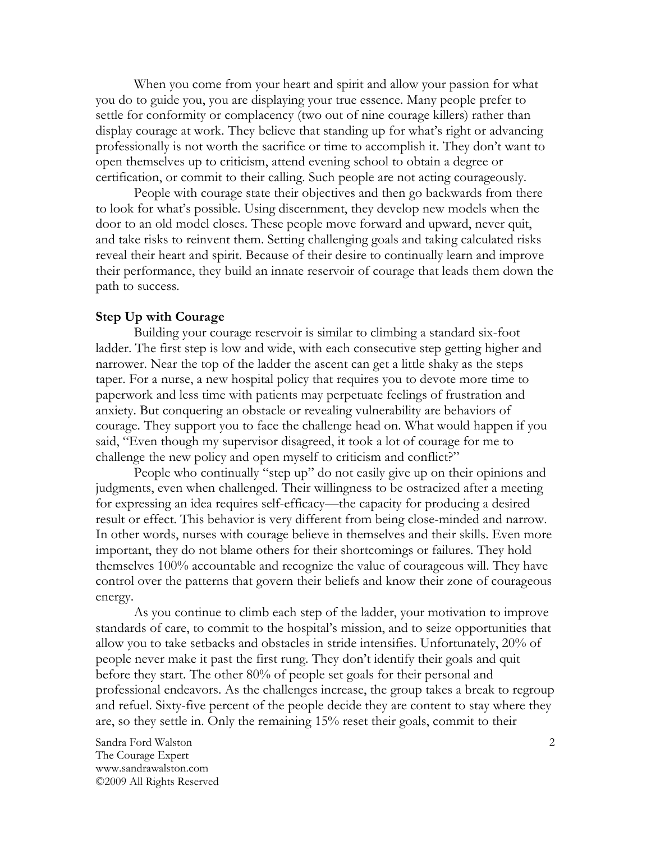When you come from your heart and spirit and allow your passion for what you do to guide you, you are displaying your true essence. Many people prefer to settle for conformity or complacency (two out of nine courage killers) rather than display courage at work. They believe that standing up for what's right or advancing professionally is not worth the sacrifice or time to accomplish it. They don't want to open themselves up to criticism, attend evening school to obtain a degree or certification, or commit to their calling. Such people are not acting courageously.

 People with courage state their objectives and then go backwards from there to look for what's possible. Using discernment, they develop new models when the door to an old model closes. These people move forward and upward, never quit, and take risks to reinvent them. Setting challenging goals and taking calculated risks reveal their heart and spirit. Because of their desire to continually learn and improve their performance, they build an innate reservoir of courage that leads them down the path to success.

### **Step Up with Courage**

Building your courage reservoir is similar to climbing a standard six-foot ladder. The first step is low and wide, with each consecutive step getting higher and narrower. Near the top of the ladder the ascent can get a little shaky as the steps taper. For a nurse, a new hospital policy that requires you to devote more time to paperwork and less time with patients may perpetuate feelings of frustration and anxiety. But conquering an obstacle or revealing vulnerability are behaviors of courage. They support you to face the challenge head on. What would happen if you said, "Even though my supervisor disagreed, it took a lot of courage for me to challenge the new policy and open myself to criticism and conflict?"

 People who continually "step up" do not easily give up on their opinions and judgments, even when challenged. Their willingness to be ostracized after a meeting for expressing an idea requires self-efficacy—the capacity for producing a desired result or effect. This behavior is very different from being close-minded and narrow. In other words, nurses with courage believe in themselves and their skills. Even more important, they do not blame others for their shortcomings or failures. They hold themselves 100% accountable and recognize the value of courageous will. They have control over the patterns that govern their beliefs and know their zone of courageous energy.

 As you continue to climb each step of the ladder, your motivation to improve standards of care, to commit to the hospital's mission, and to seize opportunities that allow you to take setbacks and obstacles in stride intensifies. Unfortunately, 20% of people never make it past the first rung. They don't identify their goals and quit before they start. The other 80% of people set goals for their personal and professional endeavors. As the challenges increase, the group takes a break to regroup and refuel. Sixty-five percent of the people decide they are content to stay where they are, so they settle in. Only the remaining 15% reset their goals, commit to their

Sandra Ford Walston The Courage Expert www.sandrawalston.com ©2009 All Rights Reserved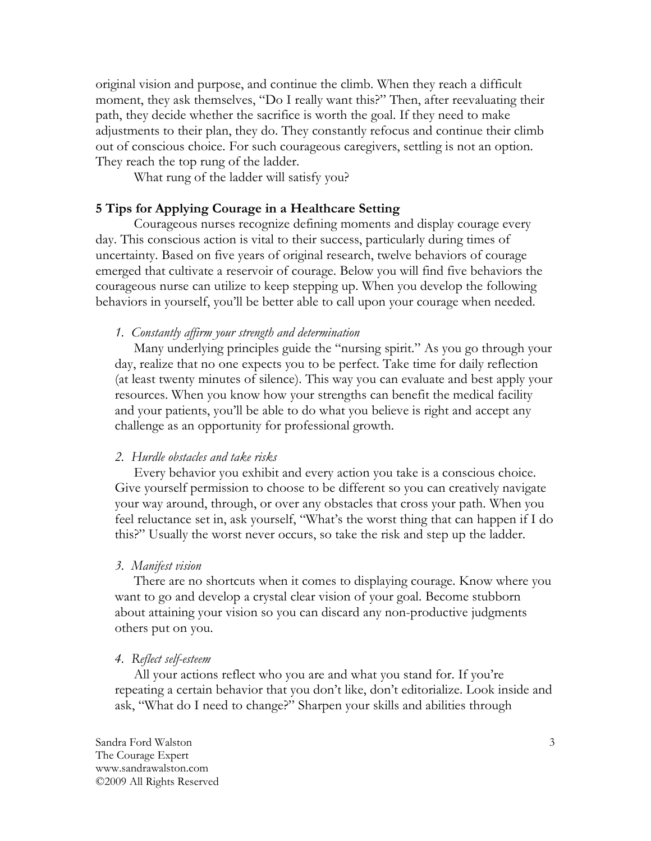original vision and purpose, and continue the climb. When they reach a difficult moment, they ask themselves, "Do I really want this?" Then, after reevaluating their path, they decide whether the sacrifice is worth the goal. If they need to make adjustments to their plan, they do. They constantly refocus and continue their climb out of conscious choice. For such courageous caregivers, settling is not an option. They reach the top rung of the ladder.

What rung of the ladder will satisfy you?

### **5 Tips for Applying Courage in a Healthcare Setting**

 Courageous nurses recognize defining moments and display courage every day. This conscious action is vital to their success, particularly during times of uncertainty. Based on five years of original research, twelve behaviors of courage emerged that cultivate a reservoir of courage. Below you will find five behaviors the courageous nurse can utilize to keep stepping up. When you develop the following behaviors in yourself, you'll be better able to call upon your courage when needed.

*1. Constantly affirm your strength and determination* 

Many underlying principles guide the "nursing spirit." As you go through your day, realize that no one expects you to be perfect. Take time for daily reflection (at least twenty minutes of silence). This way you can evaluate and best apply your resources. When you know how your strengths can benefit the medical facility and your patients, you'll be able to do what you believe is right and accept any challenge as an opportunity for professional growth.

### *2. Hurdle obstacles and take risks*

Every behavior you exhibit and every action you take is a conscious choice. Give yourself permission to choose to be different so you can creatively navigate your way around, through, or over any obstacles that cross your path. When you feel reluctance set in, ask yourself, "What's the worst thing that can happen if I do this?" Usually the worst never occurs, so take the risk and step up the ladder.

#### *3. Manifest vision*

There are no shortcuts when it comes to displaying courage. Know where you want to go and develop a crystal clear vision of your goal. Become stubborn about attaining your vision so you can discard any non-productive judgments others put on you.

#### *4. Reflect self-esteem*

All your actions reflect who you are and what you stand for. If you're repeating a certain behavior that you don't like, don't editorialize. Look inside and ask, "What do I need to change?" Sharpen your skills and abilities through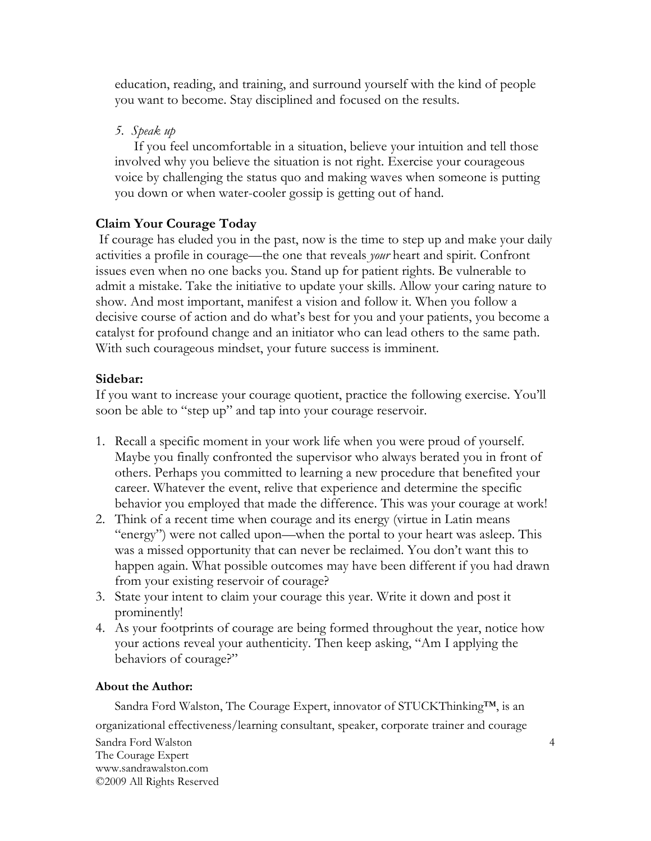education, reading, and training, and surround yourself with the kind of people you want to become. Stay disciplined and focused on the results.

*5. Speak up* 

If you feel uncomfortable in a situation, believe your intuition and tell those involved why you believe the situation is not right. Exercise your courageous voice by challenging the status quo and making waves when someone is putting you down or when water-cooler gossip is getting out of hand.

# **Claim Your Courage Today**

 If courage has eluded you in the past, now is the time to step up and make your daily activities a profile in courage—the one that reveals *your* heart and spirit. Confront issues even when no one backs you. Stand up for patient rights. Be vulnerable to admit a mistake. Take the initiative to update your skills. Allow your caring nature to show. And most important, manifest a vision and follow it. When you follow a decisive course of action and do what's best for you and your patients, you become a catalyst for profound change and an initiator who can lead others to the same path. With such courageous mindset, your future success is imminent.

# **Sidebar:**

If you want to increase your courage quotient, practice the following exercise. You'll soon be able to "step up" and tap into your courage reservoir.

- 1. Recall a specific moment in your work life when you were proud of yourself. Maybe you finally confronted the supervisor who always berated you in front of others. Perhaps you committed to learning a new procedure that benefited your career. Whatever the event, relive that experience and determine the specific behavior you employed that made the difference. This was your courage at work!
- 2. Think of a recent time when courage and its energy (virtue in Latin means "energy") were not called upon—when the portal to your heart was asleep. This was a missed opportunity that can never be reclaimed. You don't want this to happen again. What possible outcomes may have been different if you had drawn from your existing reservoir of courage?
- 3. State your intent to claim your courage this year. Write it down and post it prominently!
- 4. As your footprints of courage are being formed throughout the year, notice how your actions reveal your authenticity. Then keep asking, "Am I applying the behaviors of courage?"

### **About the Author:**

Sandra Ford Walston The Courage Expert www.sandrawalston.com ©2009 All Rights Reserved Sandra Ford Walston, The Courage Expert, innovator of STUCKThinking™, is an organizational effectiveness/learning consultant, speaker, corporate trainer and courage